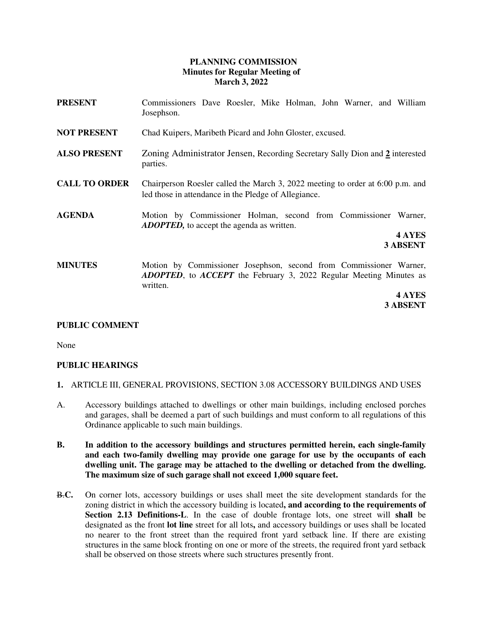## **PLANNING COMMISSION Minutes for Regular Meeting of March 3, 2022**

- **PRESENT** Commissioners Dave Roesler, Mike Holman, John Warner, and William Josephson.
- **NOT PRESENT** Chad Kuipers, Maribeth Picard and John Gloster, excused.
- **ALSO PRESENT** Zoning Administrator Jensen, Recording Secretary Sally Dion and **2** interested parties.
- **CALL TO ORDER** Chairperson Roesler called the March 3, 2022 meeting to order at 6:00 p.m. and led those in attendance in the Pledge of Allegiance.
- **AGENDA** Motion by Commissioner Holman, second from Commissioner Warner, *ADOPTED,* to accept the agenda as written.

**4 AYES 3 ABSENT**

**MINUTES** Motion by Commissioner Josephson, second from Commissioner Warner, *ADOPTED*, to *ACCEPT* the February 3, 2022 Regular Meeting Minutes as written.

> **4 AYES 3 ABSENT**

## **PUBLIC COMMENT**

None

## **PUBLIC HEARINGS**

- **1.** ARTICLE III, GENERAL PROVISIONS, SECTION 3.08 ACCESSORY BUILDINGS AND USES
- A. Accessory buildings attached to dwellings or other main buildings, including enclosed porches and garages, shall be deemed a part of such buildings and must conform to all regulations of this Ordinance applicable to such main buildings.
- **B. In addition to the accessory buildings and structures permitted herein, each single-family and each two-family dwelling may provide one garage for use by the occupants of each dwelling unit. The garage may be attached to the dwelling or detached from the dwelling. The maximum size of such garage shall not exceed 1,000 square feet.**
- B.**C.** On corner lots, accessory buildings or uses shall meet the site development standards for the zoning district in which the accessory building is located**, and according to the requirements of Section 2.13 Definitions-L**. In the case of double frontage lots, one street will **shall** be designated as the front **lot line** street for all lots**,** and accessory buildings or uses shall be located no nearer to the front street than the required front yard setback line. If there are existing structures in the same block fronting on one or more of the streets, the required front yard setback shall be observed on those streets where such structures presently front.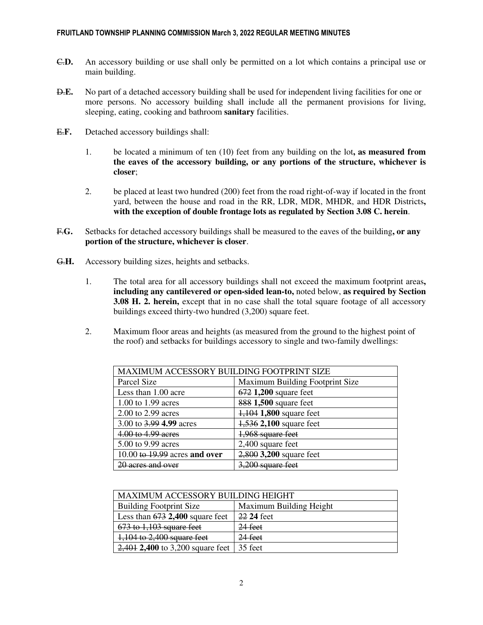- C.**D.** An accessory building or use shall only be permitted on a lot which contains a principal use or main building.
- D.**E.** No part of a detached accessory building shall be used for independent living facilities for one or more persons. No accessory building shall include all the permanent provisions for living, sleeping, eating, cooking and bathroom **sanitary** facilities.
- E.**F.** Detached accessory buildings shall:
	- 1. be located a minimum of ten (10) feet from any building on the lot**, as measured from the eaves of the accessory building, or any portions of the structure, whichever is closer**;
	- 2. be placed at least two hundred (200) feet from the road right-of-way if located in the front yard, between the house and road in the RR, LDR, MDR, MHDR, and HDR Districts**, with the exception of double frontage lots as regulated by Section 3.08 C. herein**.
- F.**G.** Setbacks for detached accessory buildings shall be measured to the eaves of the building**, or any portion of the structure, whichever is closer**.
- G.**H.** Accessory building sizes, heights and setbacks.
	- 1. The total area for all accessory buildings shall not exceed the maximum footprint areas**, including any cantilevered or open-sided lean-to,** noted below, **as required by Section 3.08 H. 2. herein,** except that in no case shall the total square footage of all accessory buildings exceed thirty-two hundred (3,200) square feet.
	- 2. Maximum floor areas and heights (as measured from the ground to the highest point of the roof) and setbacks for buildings accessory to single and two-family dwellings:

| <b>MAXIMUM ACCESSORY BUILDING FOOTPRINT SIZE</b> |                                 |  |
|--------------------------------------------------|---------------------------------|--|
| Parcel Size                                      | Maximum Building Footprint Size |  |
| Less than 1.00 acre                              | 672 1,200 square feet           |  |
| 1.00 to 1.99 acres                               | 888 1,500 square feet           |  |
| 2.00 to 2.99 acres                               | 1,104 1,800 square feet         |  |
| 3.00 to 3.99 4.99 acres                          | 1,536 2,100 square feet         |  |
| 4.00 to 4.99 acres                               | 1,968 square feet               |  |
| 5.00 to 9.99 acres                               | 2,400 square feet               |  |
| $10.00$ to $19.99$ acres and over                | 2,800 3,200 square feet         |  |
| 20 acres and over                                | 3,200 square feet               |  |

| MAXIMUM ACCESSORY BUILDING HEIGHT  |                         |  |
|------------------------------------|-------------------------|--|
| <b>Building Footprint Size</b>     | Maximum Building Height |  |
| Less than $673$ 2,400 square feet  | 22 24 feet              |  |
| $673$ to 1,103 square feet         | $24$ feet               |  |
| 1,104 to 2,400 square feet         | $24$ feet               |  |
| $2,401$ 2,400 to 3,200 square feet | 35 feet                 |  |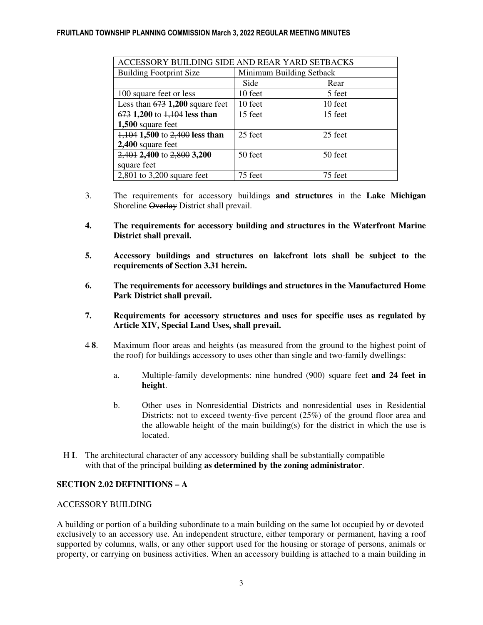#### FRUITLAND TOWNSHIP PLANNING COMMISSION March 3, 2022 REGULAR MEETING MINUTES

| ACCESSORY BUILDING SIDE AND REAR YARD SETBACKS |                          |         |  |  |
|------------------------------------------------|--------------------------|---------|--|--|
| <b>Building Footprint Size</b>                 | Minimum Building Setback |         |  |  |
|                                                | Side                     | Rear    |  |  |
| 100 square feet or less                        | 10 feet                  | 5 feet  |  |  |
| Less than $673$ 1,200 square feet              | 10 feet                  | 10 feet |  |  |
| 673 1,200 to 1,104 less than                   | 15 feet                  | 15 feet |  |  |
| 1,500 square feet                              |                          |         |  |  |
| 1,104 1,500 to 2,400 less than                 | 25 feet                  | 25 feet |  |  |
| 2,400 square feet                              |                          |         |  |  |
| 2,401 2,400 to 2,800 3,200                     | 50 feet                  | 50 feet |  |  |
| square feet                                    |                          |         |  |  |
| $2,801$ to 3,200 square feet                   | 75 foot                  | 75 foot |  |  |

- 3. The requirements for accessory buildings **and structures** in the **Lake Michigan**  Shoreline Overlay District shall prevail.
- **4. The requirements for accessory building and structures in the Waterfront Marine District shall prevail.**
- **5. Accessory buildings and structures on lakefront lots shall be subject to the requirements of Section 3.31 herein.**
- **6. The requirements for accessory buildings and structures in the Manufactured Home Park District shall prevail.**
- **7. Requirements for accessory structures and uses for specific uses as regulated by Article XIV, Special Land Uses, shall prevail.**
- 4 **8**. Maximum floor areas and heights (as measured from the ground to the highest point of the roof) for buildings accessory to uses other than single and two-family dwellings:
	- a. Multiple-family developments: nine hundred (900) square feet **and 24 feet in height**.
	- b. Other uses in Nonresidential Districts and nonresidential uses in Residential Districts: not to exceed twenty-five percent (25%) of the ground floor area and the allowable height of the main building(s) for the district in which the use is located.
- H **I**. The architectural character of any accessory building shall be substantially compatible with that of the principal building **as determined by the zoning administrator**.

## **SECTION 2.02 DEFINITIONS – A**

#### ACCESSORY BUILDING

A building or portion of a building subordinate to a main building on the same lot occupied by or devoted exclusively to an accessory use. An independent structure, either temporary or permanent, having a roof supported by columns, walls, or any other support used for the housing or storage of persons, animals or property, or carrying on business activities. When an accessory building is attached to a main building in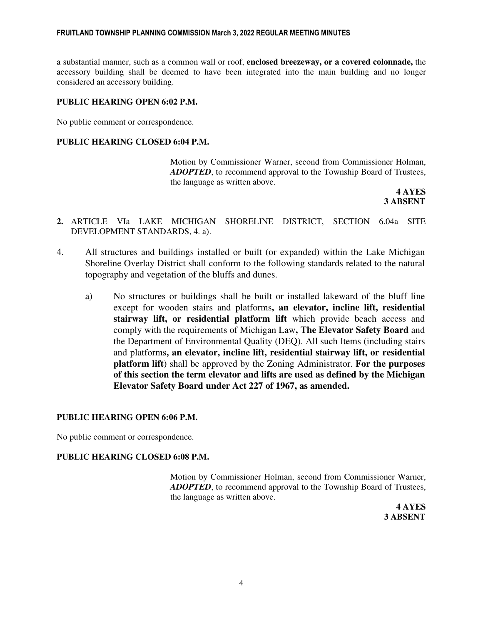a substantial manner, such as a common wall or roof, **enclosed breezeway, or a covered colonnade,** the accessory building shall be deemed to have been integrated into the main building and no longer considered an accessory building.

#### **PUBLIC HEARING OPEN 6:02 P.M.**

No public comment or correspondence.

#### **PUBLIC HEARING CLOSED 6:04 P.M.**

Motion by Commissioner Warner, second from Commissioner Holman, *ADOPTED*, to recommend approval to the Township Board of Trustees, the language as written above.

**4 AYES 3 ABSENT**

- **2.** ARTICLE VIa LAKE MICHIGAN SHORELINE DISTRICT, SECTION 6.04a SITE DEVELOPMENT STANDARDS, 4. a).
- 4. All structures and buildings installed or built (or expanded) within the Lake Michigan Shoreline Overlay District shall conform to the following standards related to the natural topography and vegetation of the bluffs and dunes.
	- a) No structures or buildings shall be built or installed lakeward of the bluff line except for wooden stairs and platforms**, an elevator, incline lift, residential stairway lift, or residential platform lift** which provide beach access and comply with the requirements of Michigan Law**, The Elevator Safety Board** and the Department of Environmental Quality (DEQ). All such Items (including stairs and platforms**, an elevator, incline lift, residential stairway lift, or residential platform lift**) shall be approved by the Zoning Administrator. **For the purposes of this section the term elevator and lifts are used as defined by the Michigan Elevator Safety Board under Act 227 of 1967, as amended.**

#### **PUBLIC HEARING OPEN 6:06 P.M.**

No public comment or correspondence.

#### **PUBLIC HEARING CLOSED 6:08 P.M.**

Motion by Commissioner Holman, second from Commissioner Warner, *ADOPTED*, to recommend approval to the Township Board of Trustees, the language as written above.

**4 AYES 3 ABSENT**